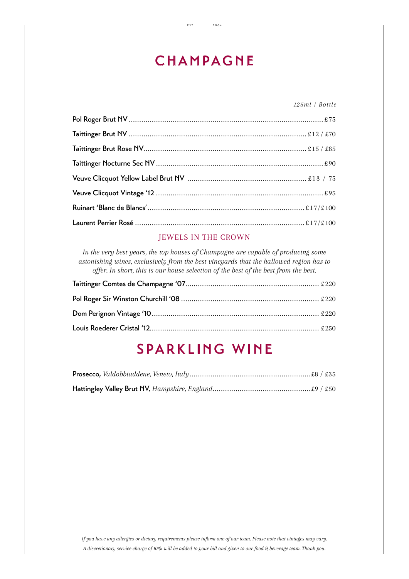# **CHAMPAGNE**

E S T. 2 0 0 4

*125ml / Bottle*

#### JEWELS IN THE CROWN

*In the very best years, the top houses of Champagne are capable of producing some astonishing wines, exclusively from the best vineyards that the hallowed region has to offer. In short, this is our house selection of the best of the best from the best.*

## SPARKLING WINE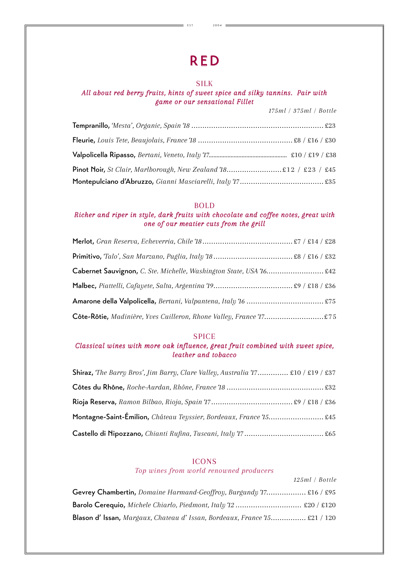# RED

E S T. 2 0 0 4

#### SILK

#### *All about red berry fruits, hints of sweet spice and silky tannins. Pair with game or our sensational Fillet*

*175ml / 375ml / Bottle*

*125ml / Bottle*

| <b>Pinot Noir,</b> St Clair, Marlborough, New Zealand 18 £12 / £23 / £45 |  |
|--------------------------------------------------------------------------|--|
|                                                                          |  |

#### BOLD

#### *Richer and riper in style, dark fruits with chocolate and coffee notes, great with one of our meatier cuts from the grill*

| Cabernet Sauvignon, C. Ste. Michelle, Washington State, USA 16 £42 |  |
|--------------------------------------------------------------------|--|
|                                                                    |  |
|                                                                    |  |
| Côte-Rôtie, Madinière, Yves Cuilleron, Rhone Valley, France 17 £75 |  |

#### SPICE

#### *Classical wines with more oak influence, great fruit combined with sweet spice, leather and tobacco*

| <b>Shiraz,</b> The Barry Bros', Jim Barry, Clare Valley, Australia 17 £10 / £19 / £37 |  |
|---------------------------------------------------------------------------------------|--|
|                                                                                       |  |
|                                                                                       |  |
| Montagne-Saint-Émilion, Château Teyssier, Bordeaux, France 15 £45                     |  |
|                                                                                       |  |

#### ICONS

*Top wines from world renowned producers*

| Gevrey Chambertin, Domaine Harmand-Geoffroy, Burgundy 17 £16 / £95             |  |
|--------------------------------------------------------------------------------|--|
| Barolo Cerequio, Michele Chiarlo, Piedmont, Italy 12  £20 / £120               |  |
| <b>Blason d'Issan,</b> Margaux, Chateau d'Issan, Bordeaux, France 15 £21 / 120 |  |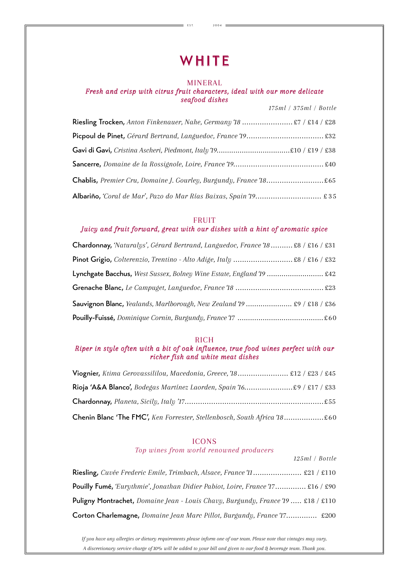### **WHITE**

 $=$  EST. 2004 =

#### MINERAL

#### *Fresh and crisp with citrus fruit characters, ideal with our more delicate seafood dishes*

| UΒ           |                     |
|--------------|---------------------|
|              | 175ml/375ml/Bottle  |
| - - - - - 10 | $0 \pi / 014 / 000$ |

| Riesling Trocken, Anton Finkenauer, Nahe, Germany 18  £7 / £14 / £28 |
|----------------------------------------------------------------------|
|                                                                      |
|                                                                      |
|                                                                      |
| Chablis, Premier Cru, Domaine J. Gourley, Burgundy, France 18 £65    |
| Albariño, 'Coral de Mar', Pazo do Mar Rías Baixas, Spain 19 £ 35     |

#### FRUIT

#### *Juicy and fruit forward, great with our dishes with a hint of aromatic spice*

| Chardonnay, 'Naturalys', Gérard Bertrand, Languedoc, France '18 £8 / £16 / £31 |  |
|--------------------------------------------------------------------------------|--|
| Pinot Grigio, Colterenzio, Trentino - Alto Adige, Italy  £8 / £16 / £32        |  |
| Lynchgate Bacchus, West Sussex, Bolney Wine Estate, England 19  £42            |  |
|                                                                                |  |
| <b>Sauvignon Blanc,</b> Yealands, Marlborough, New Zealand 19  £9 / £18 / £36  |  |
|                                                                                |  |

#### RICH

#### *Riper in style often with a bit of oak influence, true food wines perfect with our richer fish and white meat dishes*

| Viognier, Ktima Gerovassililou, Macedonia, Greece, 18 £12 / £23 / £45    |  |
|--------------------------------------------------------------------------|--|
|                                                                          |  |
|                                                                          |  |
| Chenin Blanc 'The FMC', Ken Forrester, Stellenbosch, South Africa 18 £60 |  |

#### ICONS

*Top wines from world renowned producers*

|                                                                                        | $125ml$ / Bottle |  |
|----------------------------------------------------------------------------------------|------------------|--|
| Riesling, Cuvée Frederic Emile, Trimbach, Alsace, France '11 £21 / £110                |                  |  |
| <b>Pouilly Fumé,</b> 'Eurythmie', Jonathan Didier Pabiot, Loire, France $17$ £16 / £90 |                  |  |
| <b>Puligny Montrachet,</b> Domaine Jean - Louis Chavy, Burgundy, France 19  £18 / £110 |                  |  |
| Corton Charlemagne, Domaine Jean Marc Pillot, Burgundy, France 17 £200                 |                  |  |

*If you have any allergies or dietary requirements please inform one of our team. Please note that vintages may vary. A discretionary service charge of 10% will be added to your bill and given to our food & beverage team. Thank you.*